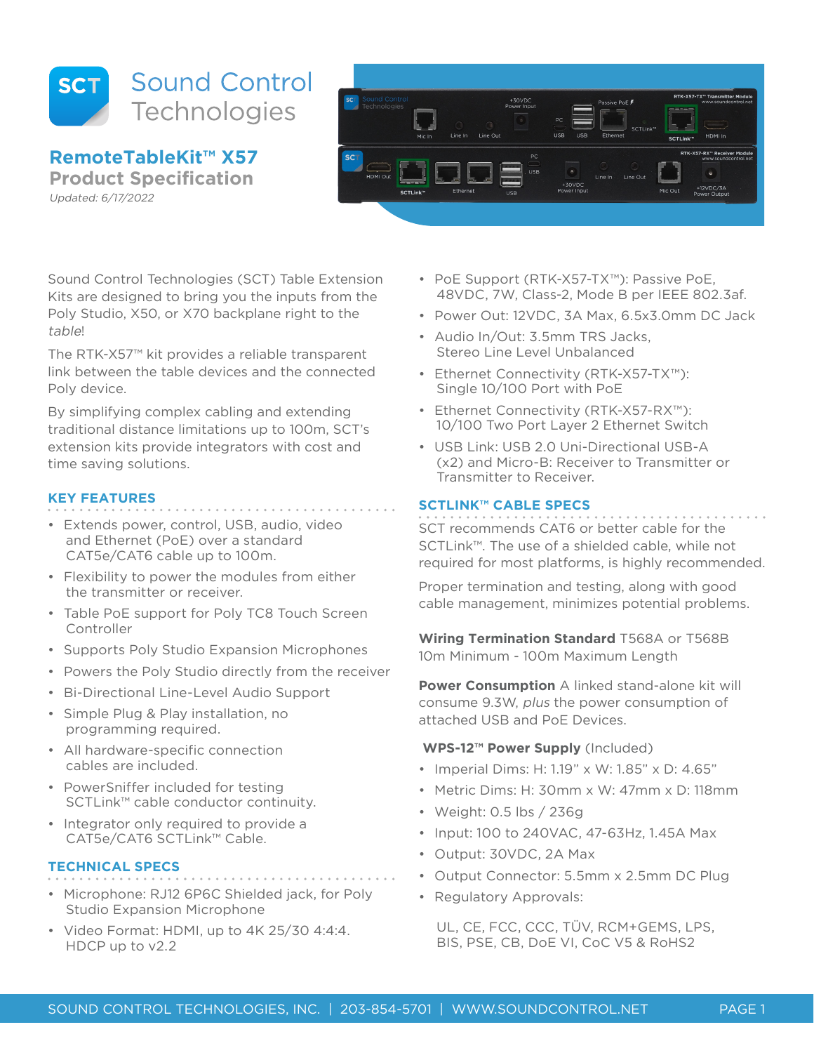

**RemoteTableKit™ X57 Product Specification**

Updated: 6/17/2022



Sound Control Technologies (SCT) Table Extension Kits are designed to bring you the inputs from the Poly Studio, X50, or X70 backplane right to the table!

The RTK-X57™ kit provides a reliable transparent link between the table devices and the connected Poly device.

By simplifying complex cabling and extending traditional distance limitations up to 100m, SCT's extension kits provide integrators with cost and time saving solutions.

# **KEY FEATURES**

- Extends power, control, USB, audio, video and Ethernet (PoE) over a standard CAT5e/CAT6 cable up to 100m.
- Flexibility to power the modules from either the transmitter or receiver.
- Table PoE support for Poly TC8 Touch Screen Controller
- Supports Poly Studio Expansion Microphones
- Powers the Poly Studio directly from the receiver
- Bi-Directional Line-Level Audio Support
- Simple Plug & Play installation, no programming required.
- All hardware-specific connection cables are included.
- PowerSniffer included for testing SCTLink™ cable conductor continuity.
- Integrator only required to provide a CAT5e/CAT6 SCTLink™ Cable.

# **TECHNICAL SPECS**

- 
- Microphone: RJ12 6P6C Shielded jack, for Poly Studio Expansion Microphone
- Video Format: HDMI, up to 4K 25/30 4:4:4. HDCP up to v2.2
- PoE Support (RTK-X57-TX™): Passive PoE, 48VDC, 7W, Class-2, Mode B per IEEE 802.3af.
- Power Out: 12VDC, 3A Max, 6.5x3.0mm DC Jack
- Audio In/Out: 3.5mm TRS Jacks, Stereo Line Level Unbalanced
- Ethernet Connectivity (RTK-X57-TX™): Single 10/100 Port with PoE
- Ethernet Connectivity (RTK-X57-RX™): 10/100 Two Port Layer 2 Ethernet Switch
- USB Link: USB 2.0 Uni-Directional USB-A (x2) and Micro-B: Receiver to Transmitter or Transmitter to Receiver.

## **SCTLINK™ CABLE SPECS**

SCT recommends CAT6 or better cable for the SCTLink™. The use of a shielded cable, while not required for most platforms, is highly recommended.

Proper termination and testing, along with good cable management, minimizes potential problems.

**Wiring Termination Standard** T568A or T568B 10m Minimum - 100m Maximum Length

**Power Consumption** A linked stand-alone kit will consume 9.3W, plus the power consumption of attached USB and PoE Devices.

## **WPS-12™ Power Supply** (Included)

- Imperial Dims: H: 1.19" x W: 1.85" x D: 4.65"
- Metric Dims: H: 30mm x W: 47mm x D: 118mm
- Weight: 0.5 lbs / 236g
- Input: 100 to 240VAC, 47-63Hz, 1.45A Max
- Output: 30VDC, 2A Max
- Output Connector: 5.5mm x 2.5mm DC Plug
- Regulatory Approvals:

UL, CE, FCC, CCC, TÜV, RCM+GEMS, LPS, BIS, PSE, CB, DoE VI, CoC V5 & RoHS2